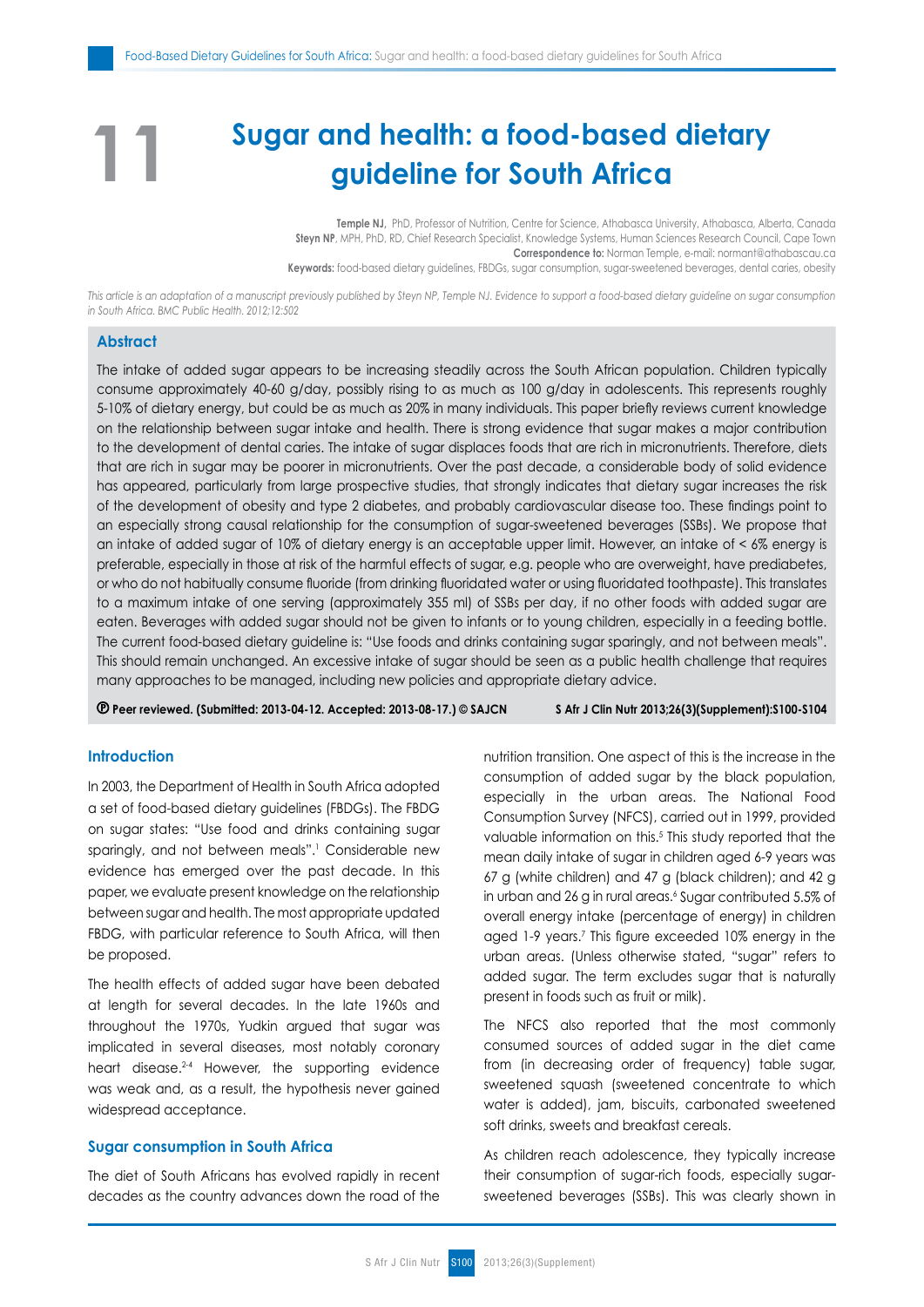# **Sugar and health: a food-based dietary guideline for South Africa**

**Temple NJ,** PhD, Professor of Nutrition, Centre for Science, Athabasca University, Athabasca, Alberta, Canada **Steyn NP**, MPH, PhD, RD, Chief Research Specialist, Knowledge Systems, Human Sciences Research Council, Cape Town **Correspondence to:** Norman Temple, e-mail: normant@athabascau.ca **Keywords:** food-based dietary guidelines, FBDGs, sugar consumption, sugar-sweetened beverages, dental caries, obesity

*This article is an adaptation of a manuscript previously published by Steyn NP, Temple NJ. Evidence to support a food-based dietary guideline on sugar consumption in South Africa. BMC Public Health. 2012;12:502*

# **Abstract**

**11**

The intake of added sugar appears to be increasing steadily across the South African population. Children typically consume approximately 40-60 g/day, possibly rising to as much as 100 g/day in adolescents. This represents roughly 5-10% of dietary energy, but could be as much as 20% in many individuals. This paper briefly reviews current knowledge on the relationship between sugar intake and health. There is strong evidence that sugar makes a major contribution to the development of dental caries. The intake of sugar displaces foods that are rich in micronutrients. Therefore, diets that are rich in sugar may be poorer in micronutrients. Over the past decade, a considerable body of solid evidence has appeared, particularly from large prospective studies, that strongly indicates that dietary sugar increases the risk of the development of obesity and type 2 diabetes, and probably cardiovascular disease too. These findings point to an especially strong causal relationship for the consumption of sugar-sweetened beverages (SSBs). We propose that an intake of added sugar of 10% of dietary energy is an acceptable upper limit. However, an intake of < 6% energy is preferable, especially in those at risk of the harmful effects of sugar, e.g. people who are overweight, have prediabetes, or who do not habitually consume fluoride (from drinking fluoridated water or using fluoridated toothpaste). This translates to a maximum intake of one serving (approximately 355 ml) of SSBs per day, if no other foods with added sugar are eaten. Beverages with added sugar should not be given to infants or to young children, especially in a feeding bottle. The current food-based dietary guideline is: "Use foods and drinks containing sugar sparingly, and not between meals". This should remain unchanged. An excessive intake of sugar should be seen as a public health challenge that requires many approaches to be managed, including new policies and appropriate dietary advice.

 **Peer reviewed. (Submitted: 2013-04-12. Accepted: 2013-08-17.) © SAJCN S Afr J Clin Nutr 2013;26(3)(Supplement):S100-S104**

# **Introduction**

In 2003, the Department of Health in South Africa adopted a set of food-based dietary guidelines (FBDGs). The FBDG on sugar states: "Use food and drinks containing sugar sparingly, and not between meals".1 Considerable new evidence has emerged over the past decade. In this paper, we evaluate present knowledge on the relationship between sugar and health. The most appropriate updated FBDG, with particular reference to South Africa, will then be proposed.

The health effects of added sugar have been debated at length for several decades. In the late 1960s and throughout the 1970s, Yudkin argued that sugar was implicated in several diseases, most notably coronary heart disease.<sup>2-4</sup> However, the supporting evidence was weak and, as a result, the hypothesis never gained widespread acceptance.

# **Sugar consumption in South Africa**

The diet of South Africans has evolved rapidly in recent decades as the country advances down the road of the nutrition transition. One aspect of this is the increase in the consumption of added sugar by the black population, especially in the urban areas. The National Food Consumption Survey (NFCS), carried out in 1999, provided valuable information on this.<sup>5</sup> This study reported that the mean daily intake of sugar in children aged 6-9 years was 67 g (white children) and 47 g (black children); and 42 g in urban and 26 g in rural areas.<sup>6</sup> Sugar contributed 5.5% of overall energy intake (percentage of energy) in children aged 1-9 years.7 This figure exceeded 10% energy in the urban areas. (Unless otherwise stated, "sugar" refers to added sugar. The term excludes sugar that is naturally present in foods such as fruit or milk).

The NFCS also reported that the most commonly consumed sources of added sugar in the diet came from (in decreasing order of frequency) table sugar, sweetened squash (sweetened concentrate to which water is added), jam, biscuits, carbonated sweetened soft drinks, sweets and breakfast cereals.

As children reach adolescence, they typically increase their consumption of sugar-rich foods, especially sugarsweetened beverages (SSBs). This was clearly shown in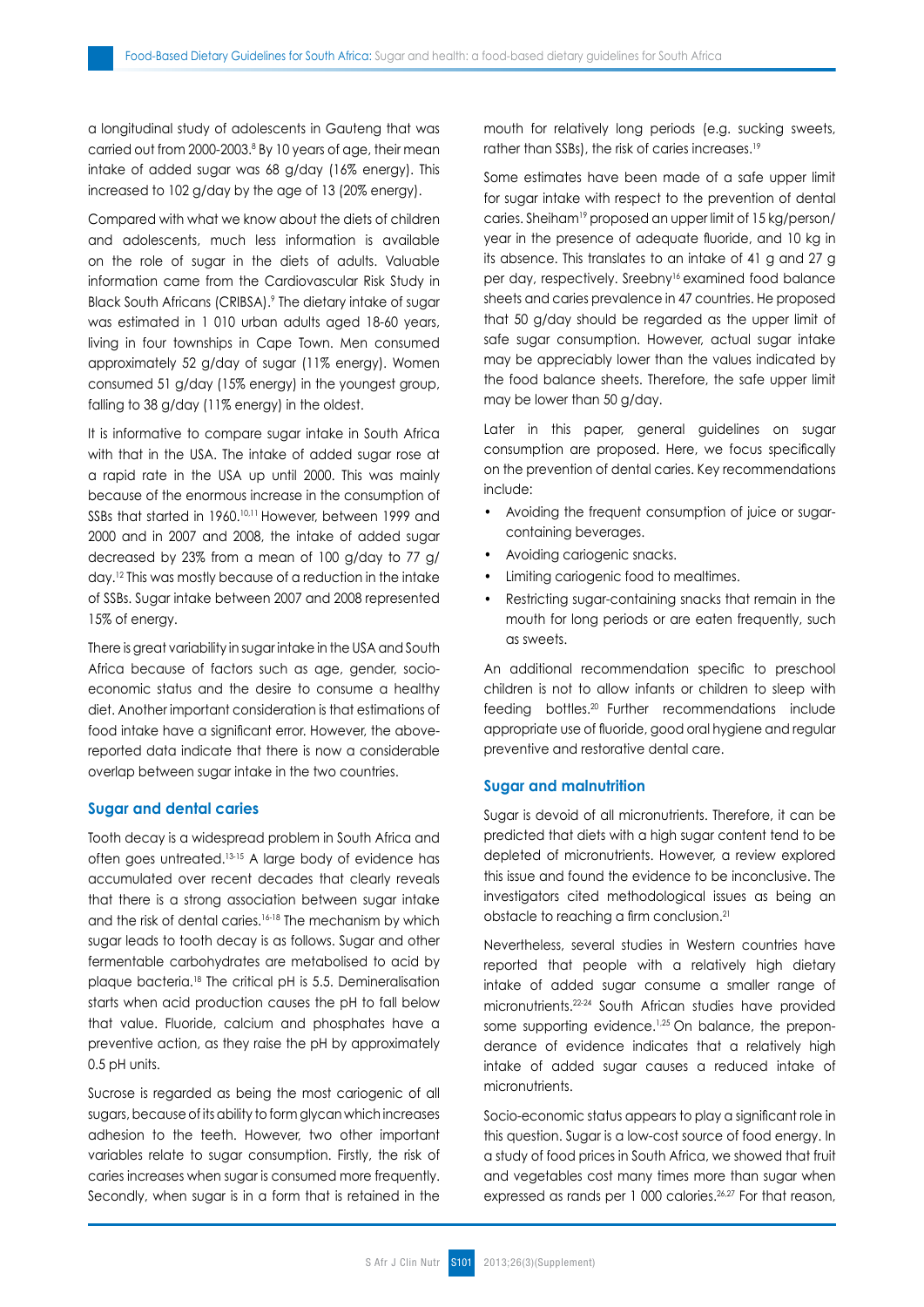a longitudinal study of adolescents in Gauteng that was carried out from 2000-2003.8 By 10 years of age, their mean intake of added sugar was 68 g/day (16% energy). This increased to 102 g/day by the age of 13 (20% energy).

Compared with what we know about the diets of children and adolescents, much less information is available on the role of sugar in the diets of adults. Valuable information came from the Cardiovascular Risk Study in Black South Africans (CRIBSA).<sup>9</sup> The dietary intake of sugar was estimated in 1 010 urban adults aged 18-60 years, living in four townships in Cape Town. Men consumed approximately 52 g/day of sugar (11% energy). Women consumed 51 g/day (15% energy) in the youngest group, falling to 38 g/day (11% energy) in the oldest.

It is informative to compare sugar intake in South Africa with that in the USA. The intake of added sugar rose at a rapid rate in the USA up until 2000. This was mainly because of the enormous increase in the consumption of SSBs that started in 1960.<sup>10,11</sup> However, between 1999 and 2000 and in 2007 and 2008, the intake of added sugar decreased by 23% from a mean of 100 g/day to 77 g/ day.12 This was mostly because of a reduction in the intake of SSBs. Sugar intake between 2007 and 2008 represented 15% of energy.

There is great variability in sugar intake in the USA and South Africa because of factors such as age, gender, socioeconomic status and the desire to consume a healthy diet. Another important consideration is that estimations of food intake have a significant error. However, the abovereported data indicate that there is now a considerable overlap between sugar intake in the two countries.

#### **Sugar and dental caries**

Tooth decay is a widespread problem in South Africa and often goes untreated.13-15 A large body of evidence has accumulated over recent decades that clearly reveals that there is a strong association between sugar intake and the risk of dental caries.<sup>16-18</sup> The mechanism by which sugar leads to tooth decay is as follows. Sugar and other fermentable carbohydrates are metabolised to acid by plaque bacteria.18 The critical pH is 5.5. Demineralisation starts when acid production causes the pH to fall below that value. Fluoride, calcium and phosphates have a preventive action, as they raise the pH by approximately 0.5 pH units.

Sucrose is regarded as being the most cariogenic of all sugars, because of its ability to form glycan which increases adhesion to the teeth. However, two other important variables relate to sugar consumption. Firstly, the risk of caries increases when sugar is consumed more frequently. Secondly, when sugar is in a form that is retained in the mouth for relatively long periods (e.g. sucking sweets, rather than SSBs), the risk of caries increases.<sup>19</sup>

Some estimates have been made of a safe upper limit for sugar intake with respect to the prevention of dental caries. Sheiham19 proposed an upper limit of 15 kg/person/ year in the presence of adequate fluoride, and 10 kg in its absence. This translates to an intake of 41 g and 27 g per day, respectively. Sreebny<sup>16</sup> examined food balance sheets and caries prevalence in 47 countries. He proposed that 50 g/day should be regarded as the upper limit of safe sugar consumption. However, actual sugar intake may be appreciably lower than the values indicated by the food balance sheets. Therefore, the safe upper limit may be lower than 50 g/day.

Later in this paper, general guidelines on sugar consumption are proposed. Here, we focus specifically on the prevention of dental caries. Key recommendations include:

- Avoiding the frequent consumption of juice or sugarcontaining beverages.
- Avoiding cariogenic snacks.
- Limiting cariogenic food to mealtimes.
- Restricting sugar-containing snacks that remain in the mouth for long periods or are eaten frequently, such as sweets.

An additional recommendation specific to preschool children is not to allow infants or children to sleep with feeding bottles.20 Further recommendations include appropriate use of fluoride, good oral hygiene and regular preventive and restorative dental care.

### **Sugar and malnutrition**

Sugar is devoid of all micronutrients. Therefore, it can be predicted that diets with a high sugar content tend to be depleted of micronutrients. However, a review explored this issue and found the evidence to be inconclusive. The investigators cited methodological issues as being an obstacle to reaching a firm conclusion.<sup>21</sup>

Nevertheless, several studies in Western countries have reported that people with a relatively high dietary intake of added sugar consume a smaller range of micronutrients.22-24 South African studies have provided some supporting evidence.<sup>1,25</sup> On balance, the preponderance of evidence indicates that a relatively high intake of added sugar causes a reduced intake of micronutrients.

Socio-economic status appears to play a significant role in this question. Sugar is a low-cost source of food energy. In a study of food prices in South Africa, we showed that fruit and vegetables cost many times more than sugar when expressed as rands per 1 000 calories.<sup>26,27</sup> For that reason,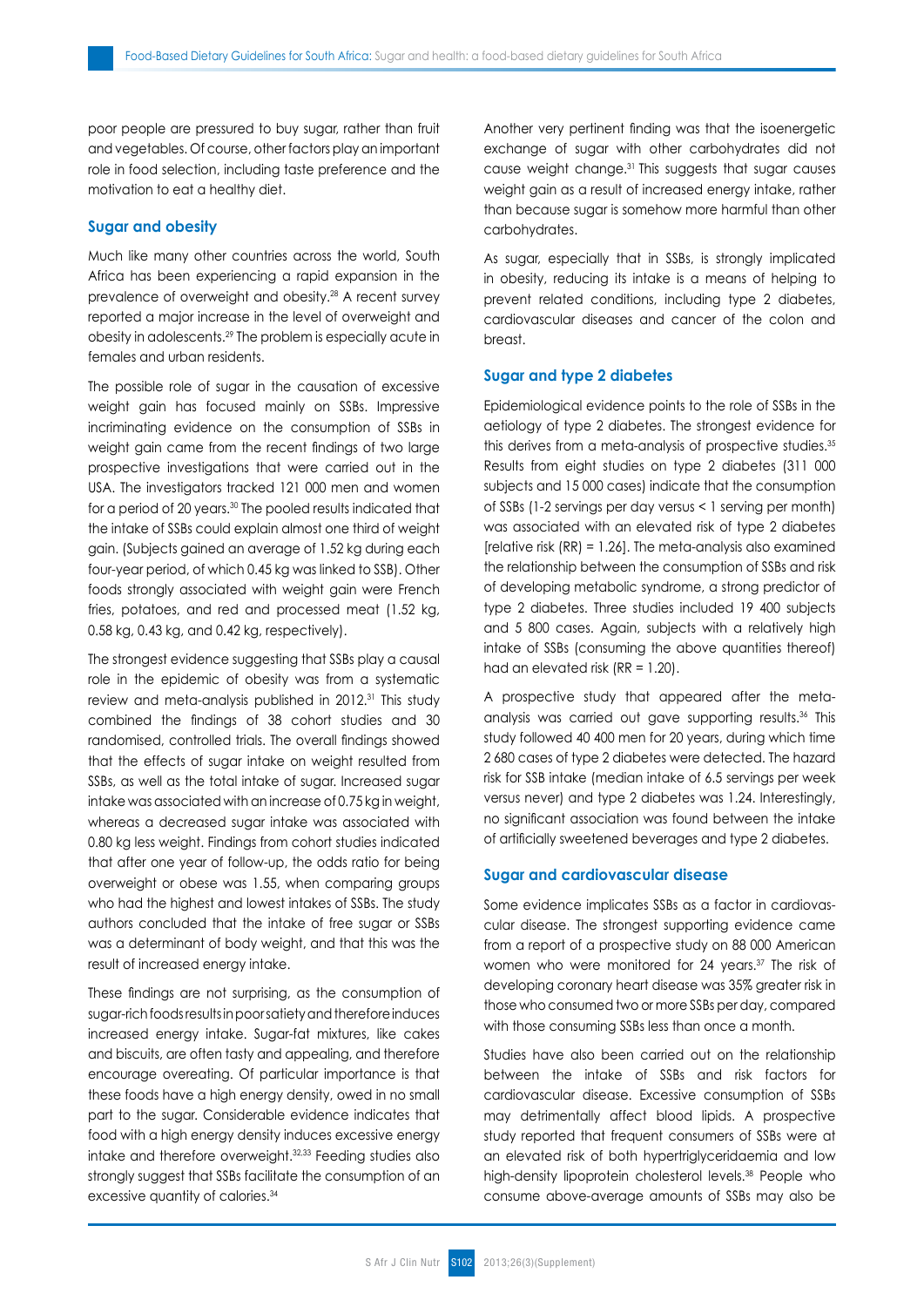poor people are pressured to buy sugar, rather than fruit and vegetables. Of course, other factors play an important role in food selection, including taste preference and the motivation to eat a healthy diet.

# **Sugar and obesity**

Much like many other countries across the world, South Africa has been experiencing a rapid expansion in the prevalence of overweight and obesity.28 A recent survey reported a major increase in the level of overweight and obesity in adolescents.29 The problem is especially acute in females and urban residents.

The possible role of sugar in the causation of excessive weight gain has focused mainly on SSBs. Impressive incriminating evidence on the consumption of SSBs in weight gain came from the recent findings of two large prospective investigations that were carried out in the USA. The investigators tracked 121 000 men and women for a period of 20 years.<sup>30</sup> The pooled results indicated that the intake of SSBs could explain almost one third of weight gain. (Subjects gained an average of 1.52 kg during each four-year period, of which 0.45 kg was linked to SSB). Other foods strongly associated with weight gain were French fries, potatoes, and red and processed meat (1.52 kg, 0.58 kg, 0.43 kg, and 0.42 kg, respectively).

The strongest evidence suggesting that SSBs play a causal role in the epidemic of obesity was from a systematic review and meta-analysis published in 2012.<sup>31</sup> This study combined the findings of 38 cohort studies and 30 randomised, controlled trials. The overall findings showed that the effects of sugar intake on weight resulted from SSBs, as well as the total intake of sugar. Increased sugar intake was associated with an increase of 0.75 kg in weight, whereas a decreased sugar intake was associated with 0.80 kg less weight. Findings from cohort studies indicated that after one year of follow-up, the odds ratio for being overweight or obese was 1.55, when comparing groups who had the highest and lowest intakes of SSBs. The study authors concluded that the intake of free sugar or SSBs was a determinant of body weight, and that this was the result of increased energy intake.

These findings are not surprising, as the consumption of sugar-rich foods results in poor satiety and therefore induces increased energy intake. Sugar-fat mixtures, like cakes and biscuits, are often tasty and appealing, and therefore encourage overeating. Of particular importance is that these foods have a high energy density, owed in no small part to the sugar. Considerable evidence indicates that food with a high energy density induces excessive energy intake and therefore overweight.32,33 Feeding studies also strongly suggest that SSBs facilitate the consumption of an excessive quantity of calories.<sup>34</sup>

Another very pertinent finding was that the isoenergetic exchange of sugar with other carbohydrates did not cause weight change.31 This suggests that sugar causes weight gain as a result of increased energy intake, rather than because sugar is somehow more harmful than other carbohydrates.

As sugar, especially that in SSBs, is strongly implicated in obesity, reducing its intake is a means of helping to prevent related conditions, including type 2 diabetes, cardiovascular diseases and cancer of the colon and breast.

# **Sugar and type 2 diabetes**

Epidemiological evidence points to the role of SSBs in the aetiology of type 2 diabetes. The strongest evidence for this derives from a meta-analysis of prospective studies.<sup>35</sup> Results from eight studies on type 2 diabetes (311 000 subjects and 15 000 cases) indicate that the consumption of SSBs (1-2 servings per day versus < 1 serving per month) was associated with an elevated risk of type 2 diabetes [relative risk  $(RR) = 1.26$ ]. The meta-analysis also examined the relationship between the consumption of SSBs and risk of developing metabolic syndrome, a strong predictor of type 2 diabetes. Three studies included 19 400 subjects and 5 800 cases. Again, subjects with a relatively high intake of SSBs (consuming the above quantities thereof) had an elevated risk (RR = 1.20).

A prospective study that appeared after the metaanalysis was carried out gave supporting results.36 This study followed 40 400 men for 20 years, during which time 2 680 cases of type 2 diabetes were detected. The hazard risk for SSB intake (median intake of 6.5 servings per week versus never) and type 2 diabetes was 1.24. Interestingly, no significant association was found between the intake of artificially sweetened beverages and type 2 diabetes.

# **Sugar and cardiovascular disease**

Some evidence implicates SSBs as a factor in cardiovascular disease. The strongest supporting evidence came from a report of a prospective study on 88 000 American women who were monitored for 24 years.37 The risk of developing coronary heart disease was 35% greater risk in those who consumed two or more SSBs per day, compared with those consuming SSBs less than once a month.

Studies have also been carried out on the relationship between the intake of SSBs and risk factors for cardiovascular disease. Excessive consumption of SSBs may detrimentally affect blood lipids. A prospective study reported that frequent consumers of SSBs were at an elevated risk of both hypertriglyceridaemia and low high-density lipoprotein cholesterol levels.<sup>38</sup> People who consume above-average amounts of SSBs may also be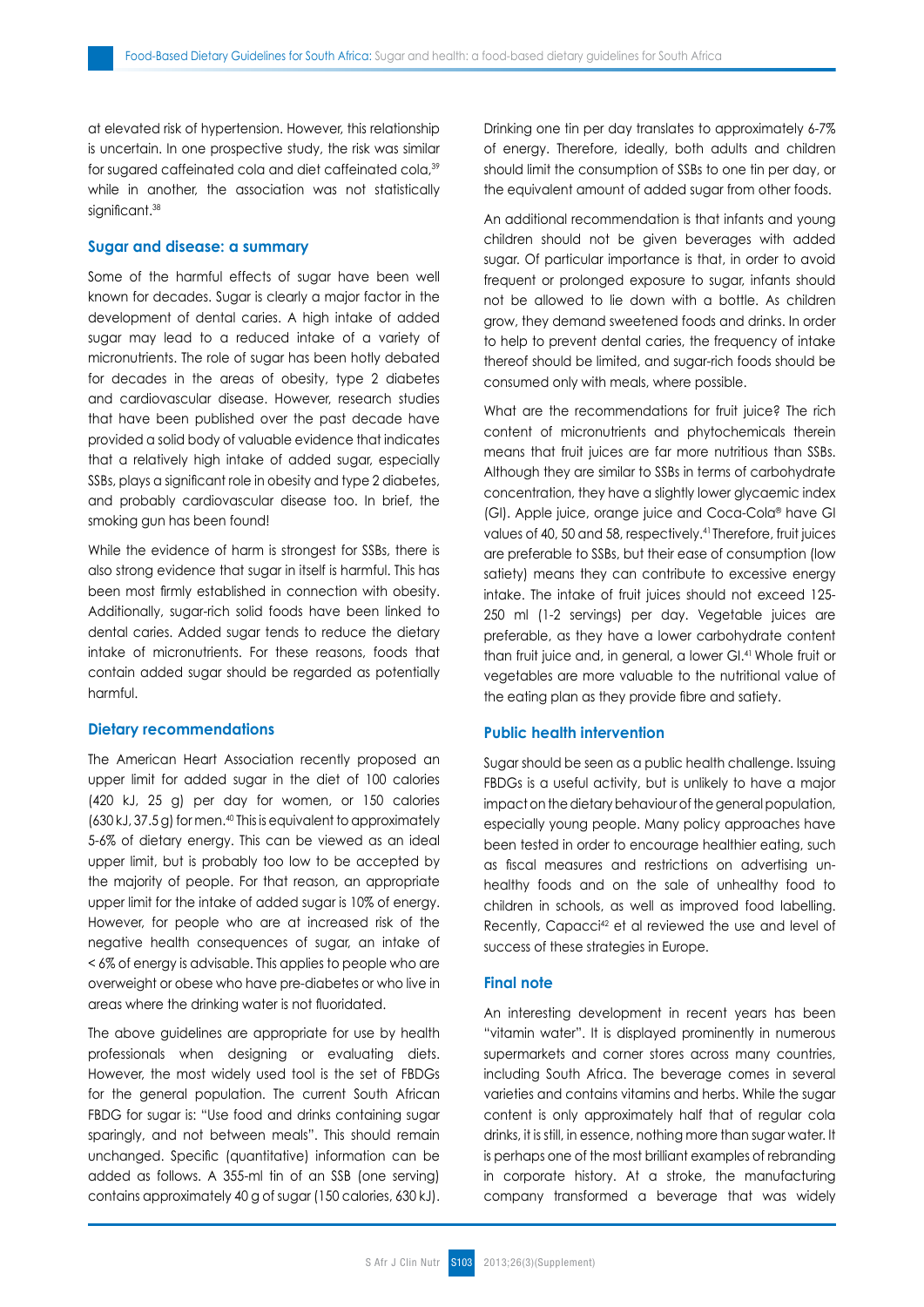at elevated risk of hypertension. However, this relationship is uncertain. In one prospective study, the risk was similar for sugared caffeinated cola and diet caffeinated cola,<sup>39</sup> while in another, the association was not statistically significant.<sup>38</sup>

## **Sugar and disease: a summary**

Some of the harmful effects of sugar have been well known for decades. Sugar is clearly a major factor in the development of dental caries. A high intake of added sugar may lead to a reduced intake of a variety of micronutrients. The role of sugar has been hotly debated for decades in the areas of obesity, type 2 diabetes and cardiovascular disease. However, research studies that have been published over the past decade have provided a solid body of valuable evidence that indicates that a relatively high intake of added sugar, especially SSBs, plays a significant role in obesity and type 2 diabetes, and probably cardiovascular disease too. In brief, the smoking gun has been found!

While the evidence of harm is strongest for SSBs, there is also strong evidence that sugar in itself is harmful. This has been most firmly established in connection with obesity. Additionally, sugar-rich solid foods have been linked to dental caries. Added sugar tends to reduce the dietary intake of micronutrients. For these reasons, foods that contain added sugar should be regarded as potentially harmful.

#### **Dietary recommendations**

The American Heart Association recently proposed an upper limit for added sugar in the diet of 100 calories (420 kJ, 25 g) per day for women, or 150 calories  $(630 \text{ kJ}, 37.5 \text{ g})$  for men.<sup>40</sup> This is equivalent to approximately 5-6% of dietary energy. This can be viewed as an ideal upper limit, but is probably too low to be accepted by the majority of people. For that reason, an appropriate upper limit for the intake of added sugar is 10% of energy. However, for people who are at increased risk of the negative health consequences of sugar, an intake of < 6% of energy is advisable. This applies to people who are overweight or obese who have pre-diabetes or who live in areas where the drinking water is not fluoridated.

The above guidelines are appropriate for use by health professionals when designing or evaluating diets. However, the most widely used tool is the set of FBDGs for the general population. The current South African FBDG for sugar is: "Use food and drinks containing sugar sparingly, and not between meals". This should remain unchanged. Specific (quantitative) information can be added as follows. A 355-ml tin of an SSB (one serving) contains approximately 40 g of sugar (150 calories, 630 kJ). Drinking one tin per day translates to approximately 6-7% of energy. Therefore, ideally, both adults and children should limit the consumption of SSBs to one tin per day, or the equivalent amount of added sugar from other foods.

An additional recommendation is that infants and young children should not be given beverages with added sugar. Of particular importance is that, in order to avoid frequent or prolonged exposure to sugar, infants should not be allowed to lie down with a bottle. As children grow, they demand sweetened foods and drinks. In order to help to prevent dental caries, the frequency of intake thereof should be limited, and sugar-rich foods should be consumed only with meals, where possible.

What are the recommendations for fruit juice? The rich content of micronutrients and phytochemicals therein means that fruit juices are far more nutritious than SSBs. Although they are similar to SSBs in terms of carbohydrate concentration, they have a slightly lower glycaemic index (GI). Apple juice, orange juice and Coca-Cola® have GI values of 40, 50 and 58, respectively.41 Therefore, fruit juices are preferable to SSBs, but their ease of consumption (low satiety) means they can contribute to excessive energy intake. The intake of fruit juices should not exceed 125- 250 ml (1-2 servings) per day. Vegetable juices are preferable, as they have a lower carbohydrate content than fruit juice and, in general, a lower GI.41 Whole fruit or vegetables are more valuable to the nutritional value of the eating plan as they provide fibre and satiety.

# **Public health intervention**

Sugar should be seen as a public health challenge. Issuing FBDGs is a useful activity, but is unlikely to have a major impact on the dietary behaviour of the general population, especially young people. Many policy approaches have been tested in order to encourage healthier eating, such as fiscal measures and restrictions on advertising unhealthy foods and on the sale of unhealthy food to children in schools, as well as improved food labelling. Recently, Capacci<sup>42</sup> et al reviewed the use and level of success of these strategies in Europe.

### **Final note**

An interesting development in recent years has been "vitamin water". It is displayed prominently in numerous supermarkets and corner stores across many countries, including South Africa. The beverage comes in several varieties and contains vitamins and herbs. While the sugar content is only approximately half that of regular cola drinks, it is still, in essence, nothing more than sugar water. It is perhaps one of the most brilliant examples of rebranding in corporate history. At a stroke, the manufacturing company transformed a beverage that was widely